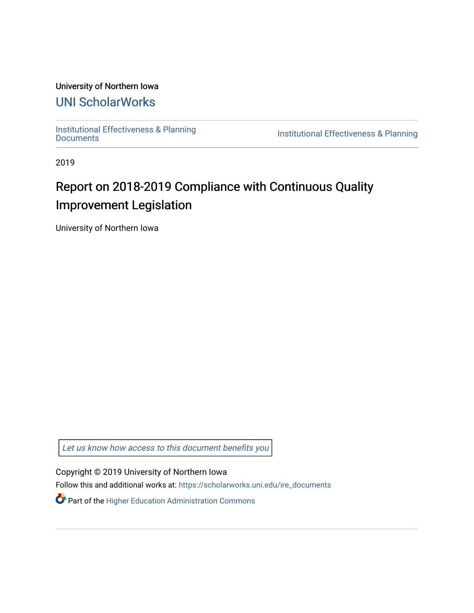## University of Northern Iowa

# [UNI ScholarWorks](https://scholarworks.uni.edu/)

[Institutional Effectiveness & Planning](https://scholarworks.uni.edu/ire_documents)

Institutional Effectiveness & Planning

2019

# Report on 2018-2019 Compliance with Continuous Quality Improvement Legislation

University of Northern Iowa

[Let us know how access to this document benefits you](https://scholarworks.uni.edu/feedback_form.html) 

Copyright © 2019 University of Northern Iowa

Follow this and additional works at: [https://scholarworks.uni.edu/ire\\_documents](https://scholarworks.uni.edu/ire_documents?utm_source=scholarworks.uni.edu%2Fire_documents%2F256&utm_medium=PDF&utm_campaign=PDFCoverPages) 

**P** Part of the Higher Education Administration Commons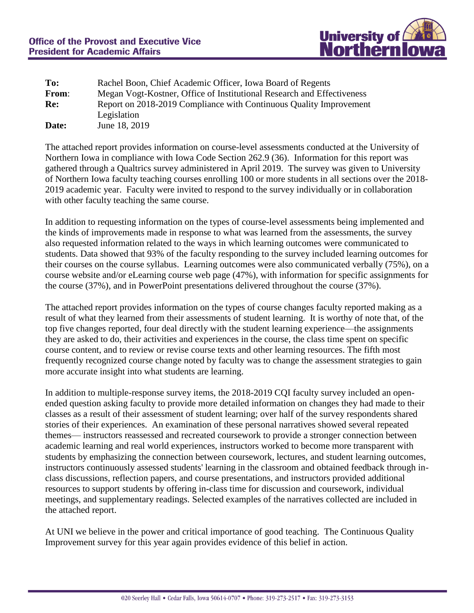

| To:   | Rachel Boon, Chief Academic Officer, Iowa Board of Regents                        |
|-------|-----------------------------------------------------------------------------------|
| From: | Megan Vogt-Kostner, Office of Institutional Research and Effectiveness            |
| Re:   | Report on 2018-2019 Compliance with Continuous Quality Improvement<br>Legislation |
| Date: | June 18, 2019                                                                     |

The attached report provides information on course-level assessments conducted at the University of Northern Iowa in compliance with Iowa Code Section 262.9 (36). Information for this report was gathered through a Qualtrics survey administered in April 2019. The survey was given to University of Northern Iowa faculty teaching courses enrolling 100 or more students in all sections over the 2018- 2019 academic year. Faculty were invited to respond to the survey individually or in collaboration with other faculty teaching the same course.

In addition to requesting information on the types of course-level assessments being implemented and the kinds of improvements made in response to what was learned from the assessments, the survey also requested information related to the ways in which learning outcomes were communicated to students. Data showed that 93% of the faculty responding to the survey included learning outcomes for their courses on the course syllabus. Learning outcomes were also communicated verbally (75%), on a course website and/or eLearning course web page (47%), with information for specific assignments for the course (37%), and in PowerPoint presentations delivered throughout the course (37%).

The attached report provides information on the types of course changes faculty reported making as a result of what they learned from their assessments of student learning. It is worthy of note that, of the top five changes reported, four deal directly with the student learning experience—the assignments they are asked to do, their activities and experiences in the course, the class time spent on specific course content, and to review or revise course texts and other learning resources. The fifth most frequently recognized course change noted by faculty was to change the assessment strategies to gain more accurate insight into what students are learning.

In addition to multiple-response survey items, the 2018-2019 CQI faculty survey included an openended question asking faculty to provide more detailed information on changes they had made to their classes as a result of their assessment of student learning; over half of the survey respondents shared stories of their experiences. An examination of these personal narratives showed several repeated themes— instructors reassessed and recreated coursework to provide a stronger connection between academic learning and real world experiences, instructors worked to become more transparent with students by emphasizing the connection between coursework, lectures, and student learning outcomes, instructors continuously assessed students' learning in the classroom and obtained feedback through inclass discussions, reflection papers, and course presentations, and instructors provided additional resources to support students by offering in-class time for discussion and coursework, individual meetings, and supplementary readings. Selected examples of the narratives collected are included in the attached report.

At UNI we believe in the power and critical importance of good teaching. The Continuous Quality Improvement survey for this year again provides evidence of this belief in action.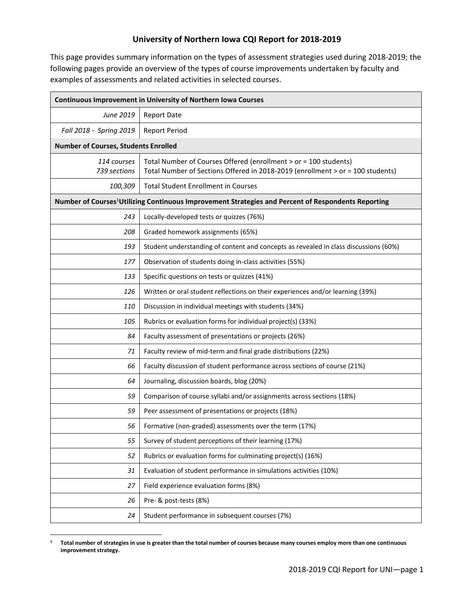### **University of Northern Iowa CQI Report for 2018-2019**

This page provides summary information on the types of assessment strategies used during 2018-2019; the following pages provide an overview of the types of course improvements undertaken by faculty and examples of assessments and related activities in selected courses.

| Continuous Improvement in University of Northern Iowa Courses                                                   |                                                                                                                                                    |  |  |
|-----------------------------------------------------------------------------------------------------------------|----------------------------------------------------------------------------------------------------------------------------------------------------|--|--|
| June 2019                                                                                                       | <b>Report Date</b>                                                                                                                                 |  |  |
| Fall 2018 - Spring 2019                                                                                         | <b>Report Period</b>                                                                                                                               |  |  |
| <b>Number of Courses, Students Enrolled</b>                                                                     |                                                                                                                                                    |  |  |
| 114 courses<br>739 sections                                                                                     | Total Number of Courses Offered (enrollment > or = 100 students)<br>Total Number of Sections Offered in 2018-2019 (enrollment > or = 100 students) |  |  |
| 100,309                                                                                                         | <b>Total Student Enrollment in Courses</b>                                                                                                         |  |  |
| Number of Courses <sup>1</sup> Utilizing Continuous Improvement Strategies and Percent of Respondents Reporting |                                                                                                                                                    |  |  |
| 243                                                                                                             | Locally-developed tests or quizzes (76%)                                                                                                           |  |  |
| 208                                                                                                             | Graded homework assignments (65%)                                                                                                                  |  |  |
| 193                                                                                                             | Student understanding of content and concepts as revealed in class discussions (60%)                                                               |  |  |
| 177                                                                                                             | Observation of students doing in-class activities (55%)                                                                                            |  |  |
| 133                                                                                                             | Specific questions on tests or quizzes (41%)                                                                                                       |  |  |
| 126                                                                                                             | Written or oral student reflections on their experiences and/or learning (39%)                                                                     |  |  |
| 110                                                                                                             | Discussion in individual meetings with students (34%)                                                                                              |  |  |
| 105                                                                                                             | Rubrics or evaluation forms for individual project(s) (33%)                                                                                        |  |  |
| 84                                                                                                              | Faculty assessment of presentations or projects (26%)                                                                                              |  |  |
| 71                                                                                                              | Faculty review of mid-term and final grade distributions (22%)                                                                                     |  |  |
| 66                                                                                                              | Faculty discussion of student performance across sections of course (21%)                                                                          |  |  |
| 64                                                                                                              | Journaling, discussion boards, blog (20%)                                                                                                          |  |  |
| 59                                                                                                              | Comparison of course syllabi and/or assignments across sections (18%)                                                                              |  |  |
| 59                                                                                                              | Peer assessment of presentations or projects (18%)                                                                                                 |  |  |
| 56                                                                                                              | Formative (non-graded) assessments over the term (17%)                                                                                             |  |  |
| 55                                                                                                              | Survey of student perceptions of their learning (17%)                                                                                              |  |  |
| 52                                                                                                              | Rubrics or evaluation forms for culminating project(s) (16%)                                                                                       |  |  |
| 31                                                                                                              | Evaluation of student performance in simulations activities (10%)                                                                                  |  |  |
| 27                                                                                                              | Field experience evaluation forms (8%)                                                                                                             |  |  |
| 26                                                                                                              | Pre- & post-tests (8%)                                                                                                                             |  |  |
| 24                                                                                                              | Student performance in subsequent courses (7%)                                                                                                     |  |  |

 **Total number of strategies in use is greater than the total number of courses because many courses employ more than one continuous improvement strategy.**

 $\overline{a}$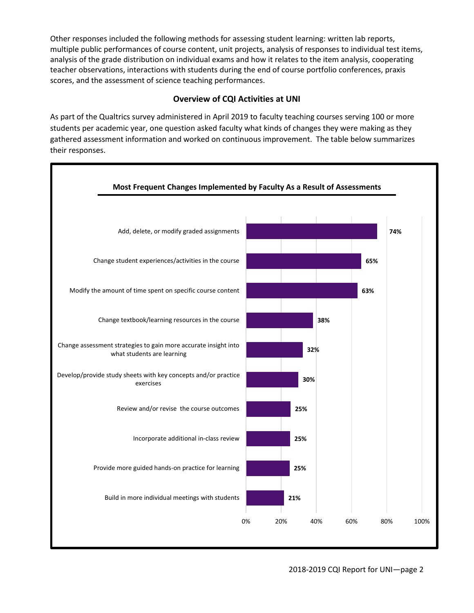Other responses included the following methods for assessing student learning: written lab reports, multiple public performances of course content, unit projects, analysis of responses to individual test items, analysis of the grade distribution on individual exams and how it relates to the item analysis, cooperating teacher observations, interactions with students during the end of course portfolio conferences, praxis scores, and the assessment of science teaching performances.

#### **Overview of CQI Activities at UNI**

As part of the Qualtrics survey administered in April 2019 to faculty teaching courses serving 100 or more students per academic year, one question asked faculty what kinds of changes they were making as they gathered assessment information and worked on continuous improvement. The table below summarizes their responses.

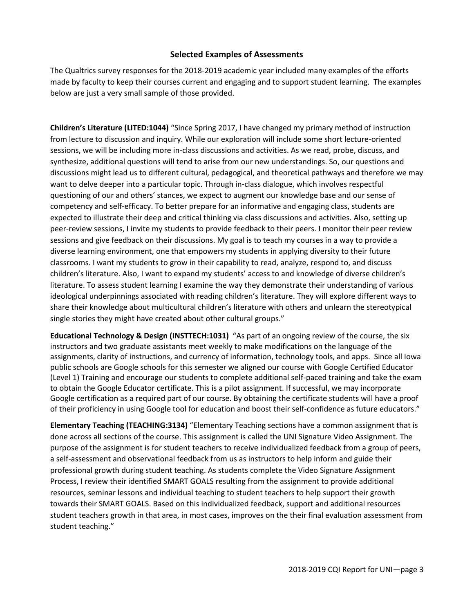#### **Selected Examples of Assessments**

The Qualtrics survey responses for the 2018-2019 academic year included many examples of the efforts made by faculty to keep their courses current and engaging and to support student learning. The examples below are just a very small sample of those provided.

**Children's Literature (LITED:1044)** "Since Spring 2017, I have changed my primary method of instruction from lecture to discussion and inquiry. While our exploration will include some short lecture-oriented sessions, we will be including more in-class discussions and activities. As we read, probe, discuss, and synthesize, additional questions will tend to arise from our new understandings. So, our questions and discussions might lead us to different cultural, pedagogical, and theoretical pathways and therefore we may want to delve deeper into a particular topic. Through in-class dialogue, which involves respectful questioning of our and others' stances, we expect to augment our knowledge base and our sense of competency and self-efficacy. To better prepare for an informative and engaging class, students are expected to illustrate their deep and critical thinking via class discussions and activities. Also, setting up peer-review sessions, I invite my students to provide feedback to their peers. I monitor their peer review sessions and give feedback on their discussions. My goal is to teach my courses in a way to provide a diverse learning environment, one that empowers my students in applying diversity to their future classrooms. I want my students to grow in their capability to read, analyze, respond to, and discuss children's literature. Also, I want to expand my students' access to and knowledge of diverse children's literature. To assess student learning I examine the way they demonstrate their understanding of various ideological underpinnings associated with reading children's literature. They will explore different ways to share their knowledge about multicultural children's literature with others and unlearn the stereotypical single stories they might have created about other cultural groups."

**Educational Technology & Design (INSTTECH:1031)** "As part of an ongoing review of the course, the six instructors and two graduate assistants meet weekly to make modifications on the language of the assignments, clarity of instructions, and currency of information, technology tools, and apps. Since all Iowa public schools are Google schools for this semester we aligned our course with Google Certified Educator (Level 1) Training and encourage our students to complete additional self-paced training and take the exam to obtain the Google Educator certificate. This is a pilot assignment. If successful, we may incorporate Google certification as a required part of our course. By obtaining the certificate students will have a proof of their proficiency in using Google tool for education and boost their self-confidence as future educators."

**Elementary Teaching (TEACHING:3134)** "Elementary Teaching sections have a common assignment that is done across all sections of the course. This assignment is called the UNI Signature Video Assignment. The purpose of the assignment is for student teachers to receive individualized feedback from a group of peers, a self-assessment and observational feedback from us as instructors to help inform and guide their professional growth during student teaching. As students complete the Video Signature Assignment Process, I review their identified SMART GOALS resulting from the assignment to provide additional resources, seminar lessons and individual teaching to student teachers to help support their growth towards their SMART GOALS. Based on this individualized feedback, support and additional resources student teachers growth in that area, in most cases, improves on the their final evaluation assessment from student teaching."